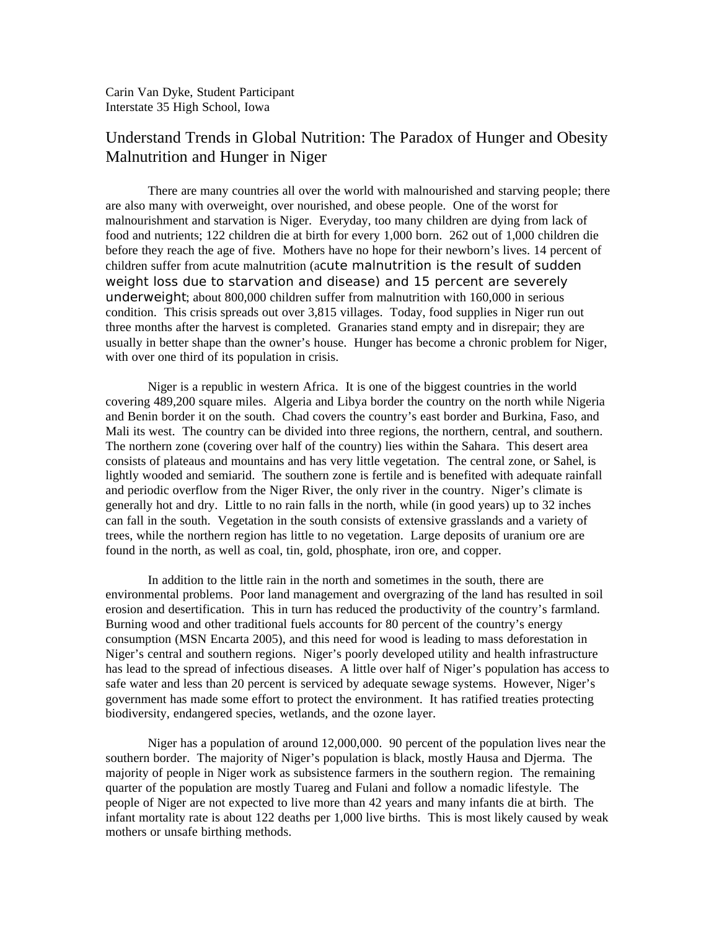## Understand Trends in Global Nutrition: The Paradox of Hunger and Obesity Malnutrition and Hunger in Niger

There are many countries all over the world with malnourished and starving people; there are also many with overweight, over nourished, and obese people. One of the worst for malnourishment and starvation is Niger. Everyday, too many children are dying from lack of food and nutrients; 122 children die at birth for every 1,000 born. 262 out of 1,000 children die before they reach the age of five. Mothers have no hope for their newborn's lives. 14 percent of children suffer from acute malnutrition (acute malnutrition is the result of sudden weight loss due to starvation and disease) and 15 percent are severely underweight; about 800,000 children suffer from malnutrition with 160,000 in serious condition. This crisis spreads out over 3,815 villages. Today, food supplies in Niger run out three months after the harvest is completed. Granaries stand empty and in disrepair; they are usually in better shape than the owner's house. Hunger has become a chronic problem for Niger, with over one third of its population in crisis.

Niger is a republic in western Africa. It is one of the biggest countries in the world covering 489,200 square miles. Algeria and Libya border the country on the north while Nigeria and Benin border it on the south. Chad covers the country's east border and Burkina, Faso, and Mali its west. The country can be divided into three regions, the northern, central, and southern. The northern zone (covering over half of the country) lies within the Sahara. This desert area consists of plateaus and mountains and has very little vegetation. The central zone, or Sahel, is lightly wooded and semiarid. The southern zone is fertile and is benefited with adequate rainfall and periodic overflow from the Niger River, the only river in the country. Niger's climate is generally hot and dry. Little to no rain falls in the north, while (in good years) up to 32 inches can fall in the south. Vegetation in the south consists of extensive grasslands and a variety of trees, while the northern region has little to no vegetation. Large deposits of uranium ore are found in the north, as well as coal, tin, gold, phosphate, iron ore, and copper.

In addition to the little rain in the north and sometimes in the south, there are environmental problems. Poor land management and overgrazing of the land has resulted in soil erosion and desertification. This in turn has reduced the productivity of the country's farmland. Burning wood and other traditional fuels accounts for 80 percent of the country's energy consumption (MSN Encarta 2005), and this need for wood is leading to mass deforestation in Niger's central and southern regions. Niger's poorly developed utility and health infrastructure has lead to the spread of infectious diseases. A little over half of Niger's population has access to safe water and less than 20 percent is serviced by adequate sewage systems. However, Niger's government has made some effort to protect the environment. It has ratified treaties protecting biodiversity, endangered species, wetlands, and the ozone layer.

Niger has a population of around 12,000,000. 90 percent of the population lives near the southern border. The majority of Niger's population is black, mostly Hausa and Djerma. The majority of people in Niger work as subsistence farmers in the southern region. The remaining quarter of the population are mostly Tuareg and Fulani and follow a nomadic lifestyle. The people of Niger are not expected to live more than 42 years and many infants die at birth. The infant mortality rate is about 122 deaths per 1,000 live births. This is most likely caused by weak mothers or unsafe birthing methods.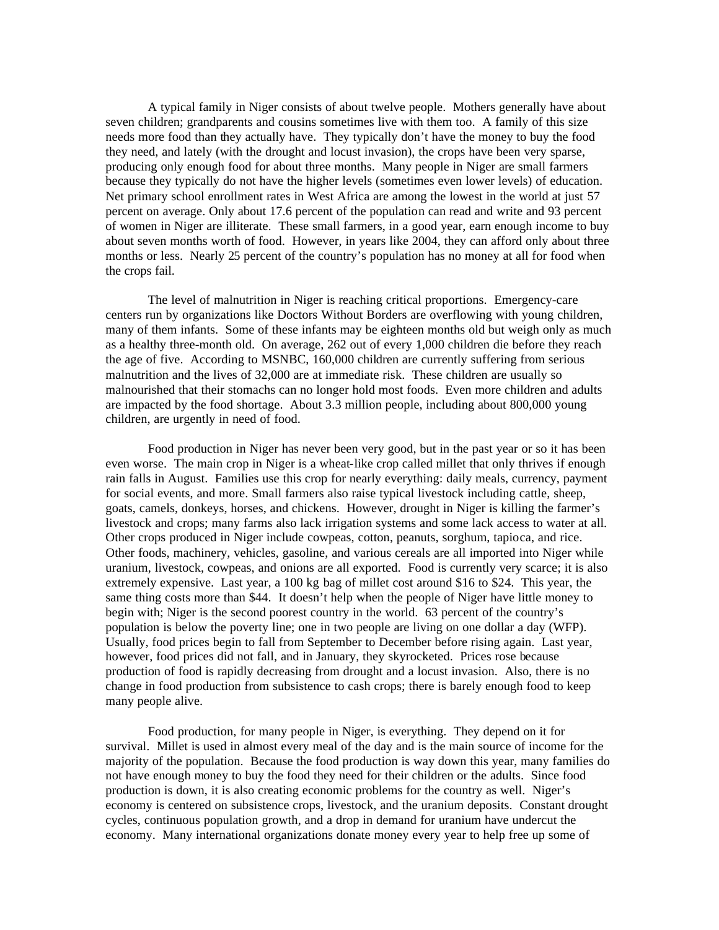A typical family in Niger consists of about twelve people. Mothers generally have about seven children; grandparents and cousins sometimes live with them too. A family of this size needs more food than they actually have. They typically don't have the money to buy the food they need, and lately (with the drought and locust invasion), the crops have been very sparse, producing only enough food for about three months. Many people in Niger are small farmers because they typically do not have the higher levels (sometimes even lower levels) of education. Net primary school enrollment rates in West Africa are among the lowest in the world at just 57 percent on average. Only about 17.6 percent of the population can read and write and 93 percent of women in Niger are illiterate. These small farmers, in a good year, earn enough income to buy about seven months worth of food. However, in years like 2004, they can afford only about three months or less. Nearly 25 percent of the country's population has no money at all for food when the crops fail.

The level of malnutrition in Niger is reaching critical proportions. Emergency-care centers run by organizations like Doctors Without Borders are overflowing with young children, many of them infants. Some of these infants may be eighteen months old but weigh only as much as a healthy three-month old. On average, 262 out of every 1,000 children die before they reach the age of five. According to MSNBC, 160,000 children are currently suffering from serious malnutrition and the lives of 32,000 are at immediate risk. These children are usually so malnourished that their stomachs can no longer hold most foods. Even more children and adults are impacted by the food shortage. About 3.3 million people, including about 800,000 young children, are urgently in need of food.

Food production in Niger has never been very good, but in the past year or so it has been even worse. The main crop in Niger is a wheat-like crop called millet that only thrives if enough rain falls in August. Families use this crop for nearly everything: daily meals, currency, payment for social events, and more. Small farmers also raise typical livestock including cattle, sheep, goats, camels, donkeys, horses, and chickens. However, drought in Niger is killing the farmer's livestock and crops; many farms also lack irrigation systems and some lack access to water at all. Other crops produced in Niger include cowpeas, cotton, peanuts, sorghum, tapioca, and rice. Other foods, machinery, vehicles, gasoline, and various cereals are all imported into Niger while uranium, livestock, cowpeas, and onions are all exported. Food is currently very scarce; it is also extremely expensive. Last year, a 100 kg bag of millet cost around \$16 to \$24. This year, the same thing costs more than \$44. It doesn't help when the people of Niger have little money to begin with; Niger is the second poorest country in the world. 63 percent of the country's population is below the poverty line; one in two people are living on one dollar a day (WFP). Usually, food prices begin to fall from September to December before rising again. Last year, however, food prices did not fall, and in January, they skyrocketed. Prices rose because production of food is rapidly decreasing from drought and a locust invasion. Also, there is no change in food production from subsistence to cash crops; there is barely enough food to keep many people alive.

Food production, for many people in Niger, is everything. They depend on it for survival. Millet is used in almost every meal of the day and is the main source of income for the majority of the population. Because the food production is way down this year, many families do not have enough money to buy the food they need for their children or the adults. Since food production is down, it is also creating economic problems for the country as well. Niger's economy is centered on subsistence crops, livestock, and the uranium deposits. Constant drought cycles, continuous population growth, and a drop in demand for uranium have undercut the economy. Many international organizations donate money every year to help free up some of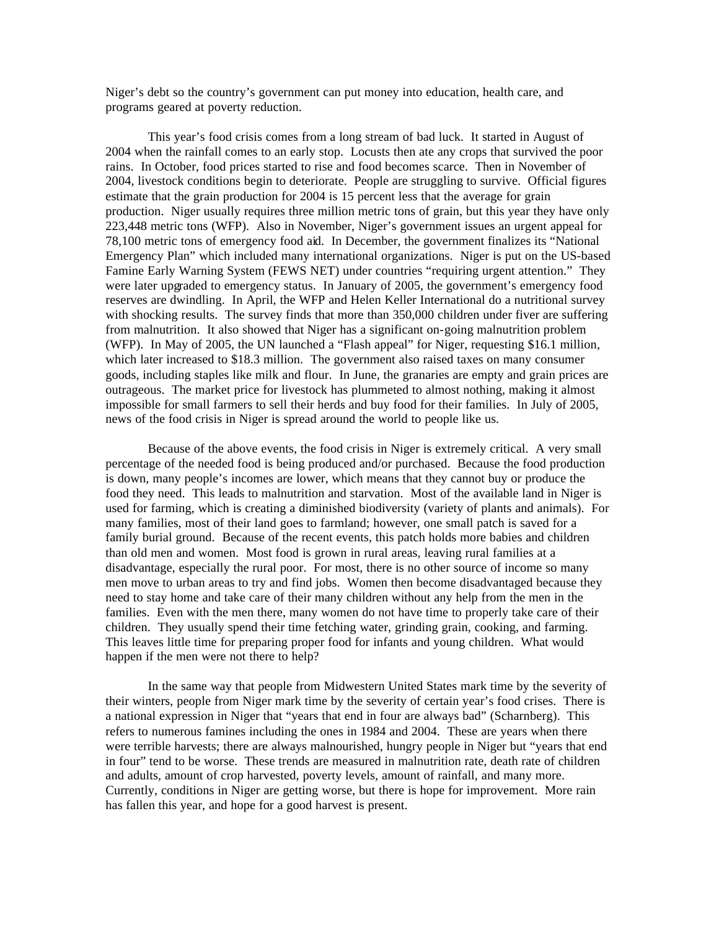Niger's debt so the country's government can put money into education, health care, and programs geared at poverty reduction.

This year's food crisis comes from a long stream of bad luck. It started in August of 2004 when the rainfall comes to an early stop. Locusts then ate any crops that survived the poor rains. In October, food prices started to rise and food becomes scarce. Then in November of 2004, livestock conditions begin to deteriorate. People are struggling to survive. Official figures estimate that the grain production for 2004 is 15 percent less that the average for grain production. Niger usually requires three million metric tons of grain, but this year they have only 223,448 metric tons (WFP). Also in November, Niger's government issues an urgent appeal for 78,100 metric tons of emergency food aid. In December, the government finalizes its "National Emergency Plan" which included many international organizations. Niger is put on the US-based Famine Early Warning System (FEWS NET) under countries "requiring urgent attention." They were later upgraded to emergency status. In January of 2005, the government's emergency food reserves are dwindling. In April, the WFP and Helen Keller International do a nutritional survey with shocking results. The survey finds that more than 350,000 children under fiver are suffering from malnutrition. It also showed that Niger has a significant on-going malnutrition problem (WFP). In May of 2005, the UN launched a "Flash appeal" for Niger, requesting \$16.1 million, which later increased to \$18.3 million. The government also raised taxes on many consumer goods, including staples like milk and flour. In June, the granaries are empty and grain prices are outrageous. The market price for livestock has plummeted to almost nothing, making it almost impossible for small farmers to sell their herds and buy food for their families. In July of 2005, news of the food crisis in Niger is spread around the world to people like us.

Because of the above events, the food crisis in Niger is extremely critical. A very small percentage of the needed food is being produced and/or purchased. Because the food production is down, many people's incomes are lower, which means that they cannot buy or produce the food they need. This leads to malnutrition and starvation. Most of the available land in Niger is used for farming, which is creating a diminished biodiversity (variety of plants and animals). For many families, most of their land goes to farmland; however, one small patch is saved for a family burial ground. Because of the recent events, this patch holds more babies and children than old men and women. Most food is grown in rural areas, leaving rural families at a disadvantage, especially the rural poor. For most, there is no other source of income so many men move to urban areas to try and find jobs. Women then become disadvantaged because they need to stay home and take care of their many children without any help from the men in the families. Even with the men there, many women do not have time to properly take care of their children. They usually spend their time fetching water, grinding grain, cooking, and farming. This leaves little time for preparing proper food for infants and young children. What would happen if the men were not there to help?

In the same way that people from Midwestern United States mark time by the severity of their winters, people from Niger mark time by the severity of certain year's food crises. There is a national expression in Niger that "years that end in four are always bad" (Scharnberg). This refers to numerous famines including the ones in 1984 and 2004. These are years when there were terrible harvests; there are always malnourished, hungry people in Niger but "years that end in four" tend to be worse. These trends are measured in malnutrition rate, death rate of children and adults, amount of crop harvested, poverty levels, amount of rainfall, and many more. Currently, conditions in Niger are getting worse, but there is hope for improvement. More rain has fallen this year, and hope for a good harvest is present.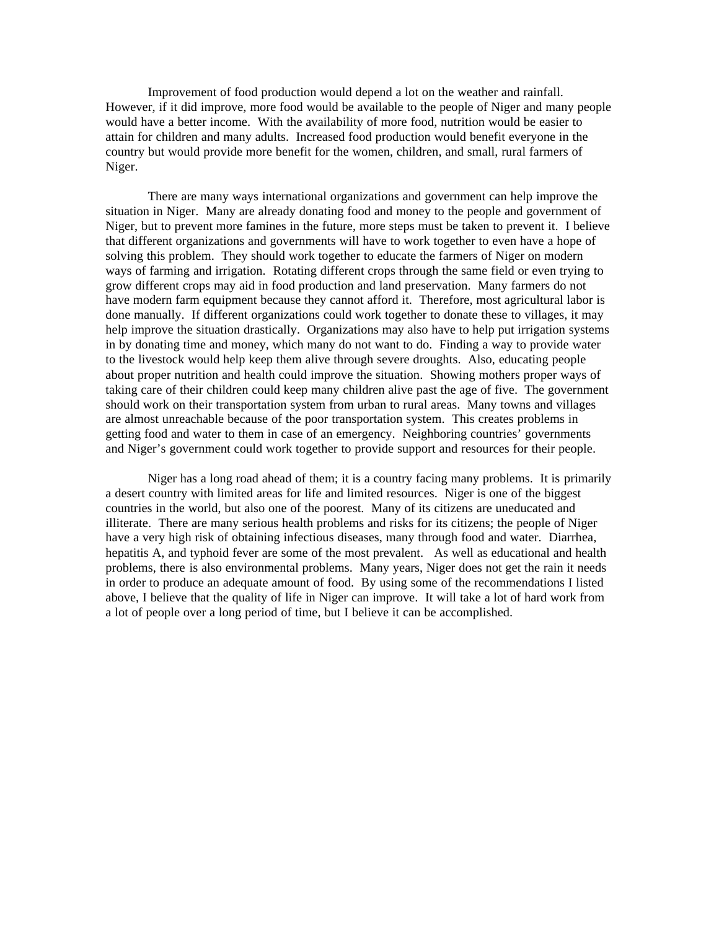Improvement of food production would depend a lot on the weather and rainfall. However, if it did improve, more food would be available to the people of Niger and many people would have a better income. With the availability of more food, nutrition would be easier to attain for children and many adults. Increased food production would benefit everyone in the country but would provide more benefit for the women, children, and small, rural farmers of Niger.

There are many ways international organizations and government can help improve the situation in Niger. Many are already donating food and money to the people and government of Niger, but to prevent more famines in the future, more steps must be taken to prevent it. I believe that different organizations and governments will have to work together to even have a hope of solving this problem. They should work together to educate the farmers of Niger on modern ways of farming and irrigation. Rotating different crops through the same field or even trying to grow different crops may aid in food production and land preservation. Many farmers do not have modern farm equipment because they cannot afford it. Therefore, most agricultural labor is done manually. If different organizations could work together to donate these to villages, it may help improve the situation drastically. Organizations may also have to help put irrigation systems in by donating time and money, which many do not want to do. Finding a way to provide water to the livestock would help keep them alive through severe droughts. Also, educating people about proper nutrition and health could improve the situation. Showing mothers proper ways of taking care of their children could keep many children alive past the age of five. The government should work on their transportation system from urban to rural areas. Many towns and villages are almost unreachable because of the poor transportation system. This creates problems in getting food and water to them in case of an emergency. Neighboring countries' governments and Niger's government could work together to provide support and resources for their people.

Niger has a long road ahead of them; it is a country facing many problems. It is primarily a desert country with limited areas for life and limited resources. Niger is one of the biggest countries in the world, but also one of the poorest. Many of its citizens are uneducated and illiterate. There are many serious health problems and risks for its citizens; the people of Niger have a very high risk of obtaining infectious diseases, many through food and water. Diarrhea, hepatitis A, and typhoid fever are some of the most prevalent. As well as educational and health problems, there is also environmental problems. Many years, Niger does not get the rain it needs in order to produce an adequate amount of food. By using some of the recommendations I listed above, I believe that the quality of life in Niger can improve. It will take a lot of hard work from a lot of people over a long period of time, but I believe it can be accomplished.